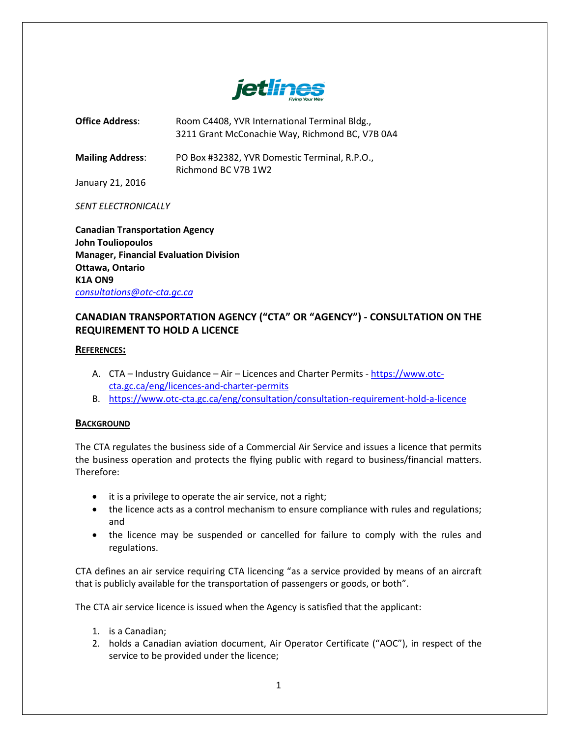

**Office Address:** Room C4408, YVR International Terminal Bldg., 3211 Grant McConachie Way, Richmond BC, V7B 0A4

**Mailing Address**: PO Box #32382, YVR Domestic Terminal, R.P.O., Richmond BC V7B 1W2

January 21, 2016

#### *SENT ELECTRONICALLY*

**Canadian Transportation Agency John Touliopoulos Manager, Financial Evaluation Division Ottawa, Ontario K1A ON9** *[consultations@otc-cta.gc.ca](mailto:consultations@otc-cta.gc.ca)*

# **CANADIAN TRANSPORTATION AGENCY ("CTA" OR "AGENCY") - CONSULTATION ON THE REQUIREMENT TO HOLD A LICENCE**

#### **REFERENCES:**

- A. CTA Industry Guidance Air Licences and Charter Permits [https://www.otc](https://www.otc-cta.gc.ca/eng/licences-and-charter-permits)[cta.gc.ca/eng/licences-and-charter-permits](https://www.otc-cta.gc.ca/eng/licences-and-charter-permits)
- B. <https://www.otc-cta.gc.ca/eng/consultation/consultation-requirement-hold-a-licence>

## **BACKGROUND**

The CTA regulates the business side of a Commercial Air Service and issues a licence that permits the business operation and protects the flying public with regard to business/financial matters. Therefore:

- it is a privilege to operate the air service, not a right;
- the licence acts as a control mechanism to ensure compliance with rules and regulations; and
- the licence may be suspended or cancelled for failure to comply with the rules and regulations.

CTA defines an air service requiring CTA licencing "as a service provided by means of an aircraft that is publicly available for the transportation of passengers or goods, or both".

The CTA air service licence is issued when the Agency is satisfied that the applicant:

- 1. is a Canadian;
- 2. holds a Canadian aviation document, Air Operator Certificate ("AOC"), in respect of the service to be provided under the licence;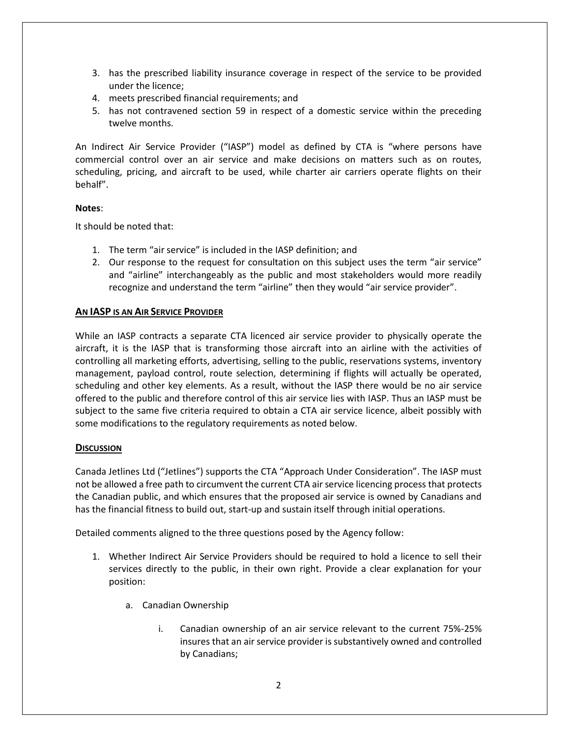- 3. has the prescribed liability insurance coverage in respect of the service to be provided under the licence;
- 4. meets prescribed financial requirements; and
- 5. has not contravened section 59 in respect of a domestic service within the preceding twelve months.

An Indirect Air Service Provider ("IASP") model as defined by CTA is "where persons have commercial control over an air service and make decisions on matters such as on routes, scheduling, pricing, and aircraft to be used, while charter air carriers operate flights on their behalf".

## **Notes**:

It should be noted that:

- 1. The term "air service" is included in the IASP definition; and
- 2. Our response to the request for consultation on this subject uses the term "air service" and "airline" interchangeably as the public and most stakeholders would more readily recognize and understand the term "airline" then they would "air service provider".

# **AN IASP IS AN AIR SERVICE PROVIDER**

While an IASP contracts a separate CTA licenced air service provider to physically operate the aircraft, it is the IASP that is transforming those aircraft into an airline with the activities of controlling all marketing efforts, advertising, selling to the public, reservations systems, inventory management, payload control, route selection, determining if flights will actually be operated, scheduling and other key elements. As a result, without the IASP there would be no air service offered to the public and therefore control of this air service lies with IASP. Thus an IASP must be subject to the same five criteria required to obtain a CTA air service licence, albeit possibly with some modifications to the regulatory requirements as noted below.

## **DISCUSSION**

Canada Jetlines Ltd ("Jetlines") supports the CTA "Approach Under Consideration". The IASP must not be allowed a free path to circumvent the current CTA air service licencing process that protects the Canadian public, and which ensures that the proposed air service is owned by Canadians and has the financial fitness to build out, start-up and sustain itself through initial operations.

Detailed comments aligned to the three questions posed by the Agency follow:

- 1. Whether Indirect Air Service Providers should be required to hold a licence to sell their services directly to the public, in their own right. Provide a clear explanation for your position:
	- a. Canadian Ownership
		- i. Canadian ownership of an air service relevant to the current 75%-25% insures that an air service provider is substantively owned and controlled by Canadians;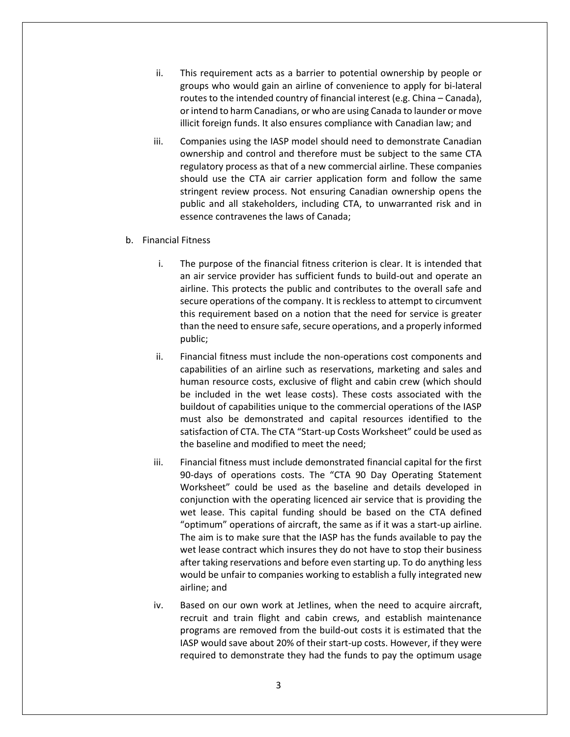- ii. This requirement acts as a barrier to potential ownership by people or groups who would gain an airline of convenience to apply for bi-lateral routes to the intended country of financial interest (e.g. China – Canada), or intend to harm Canadians, or who are using Canada to launder or move illicit foreign funds. It also ensures compliance with Canadian law; and
- iii. Companies using the IASP model should need to demonstrate Canadian ownership and control and therefore must be subject to the same CTA regulatory process as that of a new commercial airline. These companies should use the CTA air carrier application form and follow the same stringent review process. Not ensuring Canadian ownership opens the public and all stakeholders, including CTA, to unwarranted risk and in essence contravenes the laws of Canada;
- b. Financial Fitness
	- i. The purpose of the financial fitness criterion is clear. It is intended that an air service provider has sufficient funds to build-out and operate an airline. This protects the public and contributes to the overall safe and secure operations of the company. It is reckless to attempt to circumvent this requirement based on a notion that the need for service is greater than the need to ensure safe, secure operations, and a properly informed public;
	- ii. Financial fitness must include the non-operations cost components and capabilities of an airline such as reservations, marketing and sales and human resource costs, exclusive of flight and cabin crew (which should be included in the wet lease costs). These costs associated with the buildout of capabilities unique to the commercial operations of the IASP must also be demonstrated and capital resources identified to the satisfaction of CTA. The CTA "Start-up Costs Worksheet" could be used as the baseline and modified to meet the need;
	- iii. Financial fitness must include demonstrated financial capital for the first 90-days of operations costs. The "CTA 90 Day Operating Statement Worksheet" could be used as the baseline and details developed in conjunction with the operating licenced air service that is providing the wet lease. This capital funding should be based on the CTA defined "optimum" operations of aircraft, the same as if it was a start-up airline. The aim is to make sure that the IASP has the funds available to pay the wet lease contract which insures they do not have to stop their business after taking reservations and before even starting up. To do anything less would be unfair to companies working to establish a fully integrated new airline; and
	- iv. Based on our own work at Jetlines, when the need to acquire aircraft, recruit and train flight and cabin crews, and establish maintenance programs are removed from the build-out costs it is estimated that the IASP would save about 20% of their start-up costs. However, if they were required to demonstrate they had the funds to pay the optimum usage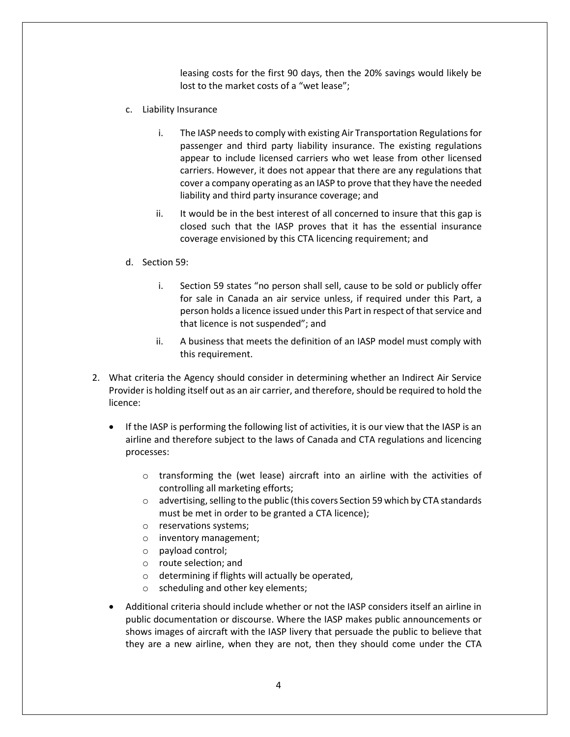leasing costs for the first 90 days, then the 20% savings would likely be lost to the market costs of a "wet lease";

- c. Liability Insurance
	- i. The IASP needs to comply with existing Air Transportation Regulations for passenger and third party liability insurance. The existing regulations appear to include licensed carriers who wet lease from other licensed carriers. However, it does not appear that there are any regulations that cover a company operating as an IASP to prove that they have the needed liability and third party insurance coverage; and
	- ii. It would be in the best interest of all concerned to insure that this gap is closed such that the IASP proves that it has the essential insurance coverage envisioned by this CTA licencing requirement; and
- d. Section 59:
	- i. Section 59 states "no person shall sell, cause to be sold or publicly offer for sale in Canada an air service unless, if required under this Part, a person holds a licence issued under this Part in respect of that service and that licence is not suspended"; and
	- ii. A business that meets the definition of an IASP model must comply with this requirement.
- 2. What criteria the Agency should consider in determining whether an Indirect Air Service Provider is holding itself out as an air carrier, and therefore, should be required to hold the licence:
	- If the IASP is performing the following list of activities, it is our view that the IASP is an airline and therefore subject to the laws of Canada and CTA regulations and licencing processes:
		- o transforming the (wet lease) aircraft into an airline with the activities of controlling all marketing efforts;
		- o advertising, selling to the public (this covers Section 59 which by CTA standards must be met in order to be granted a CTA licence);
		- o reservations systems;
		- o inventory management;
		- o payload control;
		- o route selection; and
		- o determining if flights will actually be operated,
		- o scheduling and other key elements;
	- Additional criteria should include whether or not the IASP considers itself an airline in public documentation or discourse. Where the IASP makes public announcements or shows images of aircraft with the IASP livery that persuade the public to believe that they are a new airline, when they are not, then they should come under the CTA